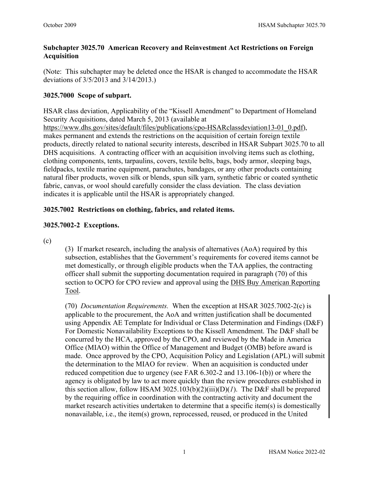### **Subchapter 3025.70 American Recovery and Reinvestment Act Restrictions on Foreign Acquisition**

(Note: This subchapter may be deleted once the HSAR is changed to accommodate the HSAR deviations of 3/5/2013 and 3/14/2013.)

## **3025.7000 Scope of subpart.**

HSAR class deviation, Applicability of the "Kissell Amendment" to Department of Homeland Security Acquisitions, dated March 5, 2013 (available at [https://www.dhs.gov/sites/default/files/publications/cpo-HSARclassdeviation13-01\\_0.pdf\)](https://www.dhs.gov/sites/default/files/publications/cpo-HSARclassdeviation13-01_0.pdf),

makes permanent and extends the restrictions on the acquisition of certain foreign textile products, directly related to national security interests, described in HSAR Subpart 3025.70 to all DHS acquisitions. A contracting officer with an acquisition involving items such as clothing, clothing components, tents, tarpaulins, covers, textile belts, bags, body armor, sleeping bags, fieldpacks, textile marine equipment, parachutes, bandages, or any other products containing natural fiber products, woven silk or blends, spun silk yarn, synthetic fabric or coated synthetic fabric, canvas, or wool should carefully consider the class deviation. The class deviation indicates it is applicable until the HSAR is appropriately changed.

# **3025.7002 Restrictions on clothing, fabrics, and related items.**

# **3025.7002-2 Exceptions.**

(c)

(3) If market research, including the analysis of alternatives (AoA) required by this subsection, establishes that the Government's requirements for covered items cannot be met domestically, or through eligible products when the TAA applies, the contracting officer shall submit the supporting documentation required in paragraph (70) of this section to OCPO for CPO review and approval using the [DHS Buy American Reporting](http://ocpo-sp.dhs.gov/sites/era/BART/Buy%20American%20Act.aspx)  [Tool.](http://ocpo-sp.dhs.gov/sites/era/BART/Buy%20American%20Act.aspx)

(70) *Documentation Requirements.* When the exception at HSAR 3025.7002-2(c) is applicable to the procurement, the AoA and written justification shall be documented using Appendix AE Template for Individual or Class Determination and Findings (D&F) For Domestic Nonavailability Exceptions to the Kissell Amendment. The D&F shall be concurred by the HCA, approved by the CPO, and reviewed by the Made in America Office (MIAO) within the Office of Management and Budget (OMB) before award is made. Once approved by the CPO, Acquisition Policy and Legislation (APL) will submit the determination to the MIAO for review. When an acquisition is conducted under reduced competition due to urgency (see FAR 6.302-2 and 13.106-1(b)) or where the agency is obligated by law to act more quickly than the review procedures established in this section allow, follow HSAM 3025.103(b)(2)(iii)(D)(*1*). The D&F shall be prepared by the requiring office in coordination with the contracting activity and document the market research activities undertaken to determine that a specific item(s) is domestically nonavailable, i.e., the item(s) grown, reprocessed, reused, or produced in the United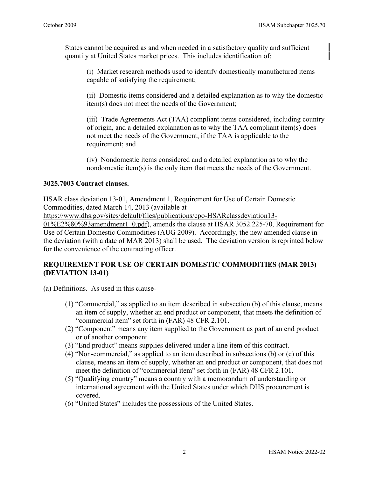States cannot be acquired as and when needed in a satisfactory quality and sufficient quantity at United States market prices. This includes identification of:

(i) Market research methods used to identify domestically manufactured items capable of satisfying the requirement;

(ii) Domestic items considered and a detailed explanation as to why the domestic item(s) does not meet the needs of the Government;

(iii) Trade Agreements Act (TAA) compliant items considered, including country of origin, and a detailed explanation as to why the TAA compliant item(s) does not meet the needs of the Government, if the TAA is applicable to the requirement; and

(iv) Nondomestic items considered and a detailed explanation as to why the nondomestic item(s) is the only item that meets the needs of the Government.

#### **3025.7003 Contract clauses.**

HSAR class deviation 13-01, Amendment 1, Requirement for Use of Certain Domestic Commodities, dated March 14, 2013 (available at

[https://www.dhs.gov/sites/default/files/publications/cpo-HSARclassdeviation13-](https://www.dhs.gov/sites/default/files/publications/cpo-HSARclassdeviation13-01%E2%80%93amendment1_0.pdf)

[01%E2%80%93amendment1\\_0.pdf\)](https://www.dhs.gov/sites/default/files/publications/cpo-HSARclassdeviation13-01%E2%80%93amendment1_0.pdf), amends the clause at HSAR 3052.225-70, Requirement for Use of Certain Domestic Commodities (AUG 2009). Accordingly, the new amended clause in the deviation (with a date of MAR 2013) shall be used. The deviation version is reprinted below for the convenience of the contracting officer.

### **REQUIREMENT FOR USE OF CERTAIN DOMESTIC COMMODITIES (MAR 2013) (DEVIATION 13-01)**

(a) Definitions. As used in this clause-

- (1) "Commercial," as applied to an item described in subsection (b) of this clause, means an item of supply, whether an end product or component, that meets the definition of "commercial item" set forth in (FAR) 48 CFR 2.101.
- (2) "Component" means any item supplied to the Government as part of an end product or of another component.
- (3) "End product" means supplies delivered under a line item of this contract.
- (4) "Non-commercial," as applied to an item described in subsections (b) or (c) of this clause, means an item of supply, whether an end product or component, that does not meet the definition of "commercial item" set forth in (FAR) 48 CFR 2.101.
- (5) "Qualifying country" means a country with a memorandum of understanding or international agreement with the United States under which DHS procurement is covered.
- (6) "United States" includes the possessions of the United States.